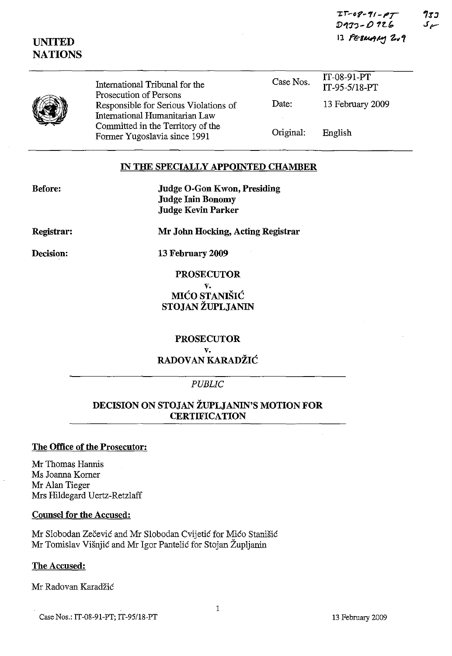| $IT-08-71-PT$   | 733  |
|-----------------|------|
| D133-O 126      | سے ک |
| 13 FEBRUARY 2.9 |      |

| UNITED         |
|----------------|
| <b>NATIONS</b> |

| International Tribunal for the                                                                    | Case Nos. | IT-08-91-PT<br>IT-95-5/18-PT |  |
|---------------------------------------------------------------------------------------------------|-----------|------------------------------|--|
| Prosecution of Persons<br>Responsible for Serious Violations of<br>International Humanitarian Law | Date:     | 13 February 2009             |  |
| Committed in the Territory of the<br>Former Yugoslavia since 1991                                 | Original: | English                      |  |

### **IN THE SPECIALLY APPOINTED CHAMBER**

| <b>Before:</b> |
|----------------|
|----------------|

**Judge O-Gon Kwon, Presiding Judge lain Bonomy Judge Kevin Parker**

**Registrar:**

**Mr John Hocking, Acting Registrar**

**Decision:**

**13 February 2009**

**PROSECUTOR**

**v. MICO STANISIC STOJAN ZUPLJANIN**

**PROSECUTOR v. RADOVAN KARADZIC**

# *PUBLIC*

# **DECISION ON STOJAN ZUPLJANIN'S MOTION FOR CERTIFICATION**

# **The Office of the Prosecutor:**

Mr Thomas Hannis Ms Joanna Korner Mr Alan Tieger Mrs Hildegard Uertz-Retzlaff

**Counsel for the Accused:**

Mr Slobodan Zecevic and Mr Slobodan Cvijetic for Mico Stanisic Mr Tomislav Visnjic and Mr Igor Pantelic for Stojan Zupljanin

The **Accused:**

Mr Radovan Karadzic

1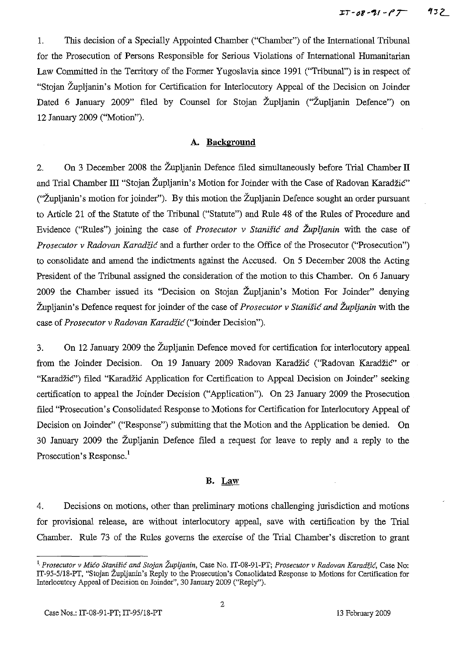1. This decision of a Specially Appointed Chamber ("Chamber") of the International Tribunal for the Prosecution of Persons Responsible for Serious Violations of International Humanitarian Law Committed in the Territory of the Former Yugoslavia since 1991 ("Tribunal") is in respect of "Stojan Zupljanin's Motion for Certification for Interlocutory Appeal of the Decision on Joinder Dated 6 January 2009" filed by Counsel for Stojan Župljanin ("Župljanin Defence") on 12 January 2009 ("Motion").

### A. **Background**

2. On 3 December 2008 the Zupljanin Defence filed simultaneously before Trial Chamber II and Trial Chamber III "Stojan Župljanin's Motion for Joinder with the Case of Radovan Karadžić" ("Župljanin's motion for joinder"). By this motion the Župljanin Defence sought an order pursuant to Article 21 of the Statute of the Tribunal ("Statute") and Rule 48 of the Rules of Procedure and Evidence ("Rules") joining the case of *Prosecutor* v *Stanisic and Zupljanin* with the case of *Prosecutor* v *Radovan Karadiic* and a further order to the Office of the Prosecutor ("Prosecution") to consolidate and amend the indictments against the Accused. On 5 December 2008 the Acting President of the Tribunal assigned the consideration of the motion to this Chamber. On 6 January 2009 the Chamber issued its "Decision on Stojan Zupljanin's Motion For Joinder" denying Zupljanin's Defence request for joinder of the case of *Prosecutor* v *Stanisic and Zupljaniti* with the case of *Prosecutor* v *Radovan Karadiic* ("Joinder Decision").

3. On 12 January 2009 the Zupljanin Defence moved for certification for interlocutory appeal. from the Joinder Decision. On 19 January 2009 Radovan Karadzic ("Radovan Karadzic" or "Karadžić") filed "Karadžić Application for Certification to Appeal Decision on Joinder" seeking certification to appeal the Joinder Decision ("Application"). On 23 January 2009 the Prosecution filed "Prosecution's Consolidated Response to Motions for Certification for Interlocutory Appeal of Decision on Joinder" ("Response") submitting that the Motion and the Application be denied. On 30 January 2009 the Zupljanin Defence filed a request for leave to reply and a reply to the Prosecution's Response.<sup>1</sup>

### **B.** Law

4. Decisions on motions, other than preliminary motions challenging jurisdiction and motions for provisional release, are without interlocutory appeal, save with certification by the Trial Chamber. Rule 73 of the Rules governs the exercise of the Trial Chamber's discretion to grant

<sup>&</sup>lt;sup>1</sup>. Prosecutor v Mićo Stanišić and Stojan Župljanin, Case No. IT-08-91-PT; *Prosecutor* v *Radovan Karadžić*, Case No: IT-95-5/18-PT, "Stojan Zupljanin's Reply to the Prosecution's Consolidated Response to Motions for Certification for Interlocutory Appeal of Decision on Joinder", 30 January 2009 ("Reply").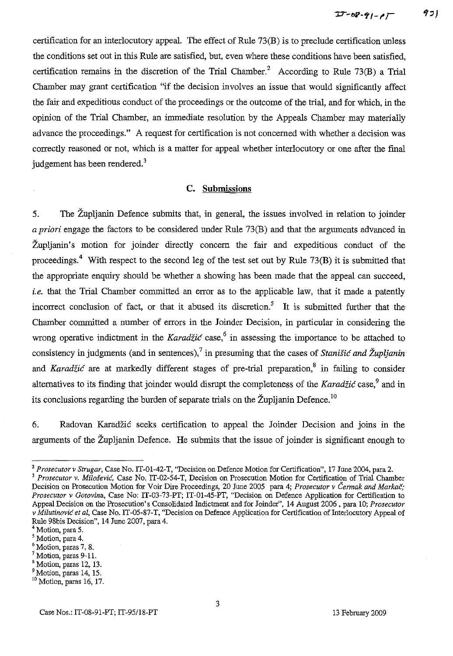certification for an interlocutory appeal. The effect of Rule 73(B) is to preclude certification unless the conditions set out in this Rule are satisfied, but, even where these conditions have been satisfied, certification remains in the discretion of the Trial Chamber.<sup>2</sup> According to Rule 73(B) a Trial Chamber may grant certification "if the decision involves an issue that would significantly affect the fair and expeditious conduct of the proceedings or the outcome of the trial, and for which, in the opinion of the Trial Chamber, an immediate resolution by the Appeals Chamber may materially advance the proceedings." A request for certification is not concerned with whether a decision was correctly reasoned or not, which is a matter for appeal whether interlocutory or one after the final judgement has been rendered.<sup>3</sup>

### **c. Submissions**

5. The Zupljanin Defence submits that, **in** general, the issues involved in relation to joinder *a priori* engage the factors to be considered under Rule 73(B) and that the arguments advanced in Zupljanin's motion for joinder directly concern the fair and expeditious conduct of the proceedings.<sup>4</sup> With respect to the second leg of the test set out by Rule  $73(B)$  it is submitted that the appropriate enquiry should be whether a showing has been made that the appeal can succeed, *i.e.* that the Trial Chamber committed an error as to the applicable law, that it made a patently incorrect conclusion of fact, or that it abused its discretion.<sup>5</sup> It is submitted further that the Chamber committed a number of errors in the Joinder Decision, in particular in considering the wrong operative indictment in the Karadžić case,<sup>6</sup> in assessing the importance to be attached to consistency in judgments (and in sentences)," in presuming that the cases of *Stanisic and Zupljanin* and *Karadžić* are at markedly different stages of pre-trial preparation,<sup>8</sup> in failing to consider alternatives to its finding that joinder would disrupt the completeness of the *Karadzić* case,<sup>9</sup> and in its conclusions regarding the burden of separate trials on the Župljanin Defence.<sup>10</sup>

6. Radovan Karadzic seeks certification to appeal the Joinder Decision and joins in the arguments of the Zupljanin Defence. He submits that the issue of joinder is significant enough to

<sup>2</sup> *Prosecutor* v *Strugar,* Case No. IT-0l-42-T, "Decision on Defence Motion for Certification", 17 June 2004, para 2.

<sup>3</sup> *Prosecutor* v. *Milosevic,* Case No. IT-02-54-T, Decision on Prosecution Motion for Certification of Trial Chamber Decision on Prosecution Motion for Voir Dire Proceedings, 20 June 2005 para 4; *Prosecutor*v *Cennak and Markac; Prosecutor* v *Gotovins,* Case No: IT-03-73-PT; IT-01-45-PT, "Decision on Defence Application for Certification to Appeal Decision on the Prosecution's Consolidated Indictment and for Joinder", 14 August 2006, para 10; *Prosecutor* v *Milutinovic et al,* Case No. IT-05-87-T, "Decision on Defence Application for Certification of Interlocutory Appeal of Rule 98bis Decision", 14 June 2007, para 4.

<sup>4</sup> Motion, para 5.

<sup>5</sup> Motion, para 4.

<sup>6</sup> Motion, paras 7, 8.

<sup>7</sup> Motion, paras 9-11.

<sup>8</sup> Motion, paras 12, 13.

<sup>&</sup>lt;sup>9</sup> Motion, paras 14, 15.

<sup>&</sup>lt;sup>10</sup> Motion, paras 16, 17.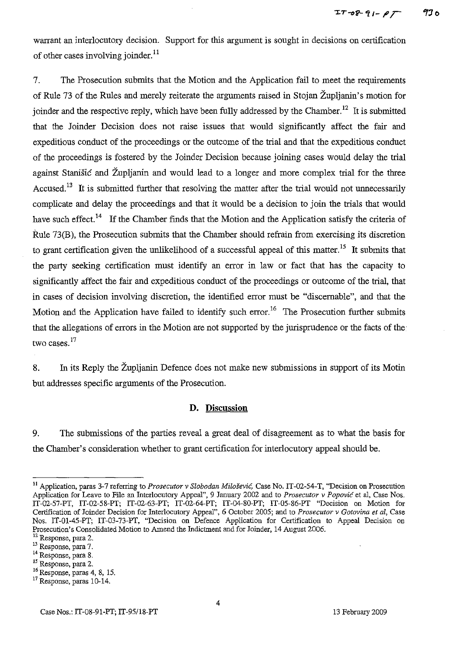warrant an interlocutory decision. Support for this argument is sought in decisions on certification of other cases involving joinder.<sup>11</sup>

7. The Prosecution submits that the Motion and the Application fail to meet the requirements of Rule 73 of the Rules and merely reiterate the arguments raised in Stojan Zupljanin's motion for joinder and the respective reply, which have been fully addressed by the Chamber.<sup>12</sup> It is submitted that the Joinder Decision does not raise issues that would significantly affect the fair and expeditious conduct of the proceedings or the outcome of the trial and that the expeditious conduct of the proceedings is fostered by the Joinder Decision because joining cases would delay the trial against Stanisic and Zupljanin and would lead to a longer and more complex trial for the three Accused.<sup>13</sup> It is submitted further that resolving the matter after the trial would not unnecessarily complicate and delay the proceedings and that it would be a decision to join the trials that would have such effect.<sup>14</sup> If the Chamber finds that the Motion and the Application satisfy the criteria of Rule 73(B), the Prosecution submits that the Chamber should refrain from exercising its discretion to grant certification given the unlikelihood of a successful appeal of this matter.<sup>15</sup> It submits that the party seeking certification must identify an error in law or fact that has the capacity to significantly affect the fair and expeditious conduct of the proceedings or outcome of the trial, that in cases of decision involving discretion, the identified error must be "discernable", and that the Motion and the Application have failed to identify such error.<sup>16</sup> The Prosecution further submits that the allegations of errors in the Motion are not supported by the jurisprudence or the facts of the two cases.<sup>17</sup>

8. In its Reply the Zupljanin Defence does not make new submissions in support of its Motin but addresses specific arguments of the Prosecution.

### **D. Discussion**

9. The submissions of the parties reveal a great deal of disagreement as to what the basis for the Chamber's consideration whether to grant certification for interlocutory appeal should be.

<sup>&</sup>lt;sup>11</sup> Application, paras 3-7 referring to *Prosecutor* v *Slobodan Milošević*, Case No. IT-02-54-T, "Decision on Prosecution Application for Leave to File an Interlocntory Appeal", 9 January 2002 and to *Prosecutor* v *Popovic* et al, Case Nos. IT-02-57-PT, IT-02-58-PT; IT-02-63-PT; IT-02-64-PT; IT-04-80-PT; IT-05-86-PT "Decision on Motion for Certification of Joinder Decision for Interlocutory Appeal", 6 October 2005; and to *Prosecutor* v *Gotovina et al,* Case Nos. IT-0l-45-PT; IT-03-73-PT, "Decision on Defence Application for Certification to Appeal Decision on Prosecution's Consolidated Motion to Amend the Indictment and for Joinder, 14 August 2006.

<sup>12</sup> Response, para 2.

<sup>13</sup> Response, para 7.

<sup>14</sup> Response, para 8. <sup>15</sup> Response, para 2.

<sup>&</sup>lt;sup>16</sup> Response, paras 4, 8, 15.

<sup>&</sup>lt;sup>17</sup> Response, paras 10-14.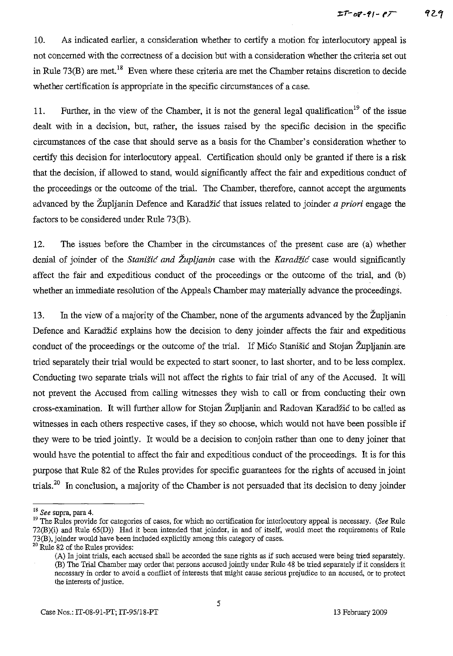10. As indicated earlier, a consideration whether to certify a motion for interlocutory appeal is not concerned with the correctness of a decision but with a consideration whether the criteria set out in Rule 73(B) are met.<sup>18</sup> Even where these criteria are met the Chamber retains discretion to decide whether certification is appropriate in the specific circumstances of a case.

11. Further, in the view of the Chamber, it is not the general legal qualification<sup>19</sup> of the issue dealt with in a decision, but, rather, the issues raised by the specific decision in the specific circumstances of the case that should serve as a basis for the Chamber's consideration whether to certify this decision for interlocutory appeal. Certification should only be granted if there is a risk that the decision, if allowed to stand, would significantly affect the fair and expeditious conduct of the proceedings or the outcome of the trial. The Chamber, therefore, cannot accept the arguments advanced by the Zupljanin Defence and Karadzic that issues related to joinder *a priori* engage the factors to be considered under Rule 73(B).

12. The issues before the Chamber in the circumstances of the present case are (a) whether denial of joinder of the *Stanišić and Župljanin* case with the *Karadžić* case would significantly affect the fair and expeditious conduct of the proceedings or the outcome of the trial, and (b) whether an immediate resolution of the Appeals Chamber may materially advance the proceedings.

13. In the view of a majority of the Chamber, none of the arguments advanced by the Zupljanin Defence and Karadzic explains how the decision to deny joinder affects the fair and expeditious conduct of the proceedings or the outcome of the trial. If Mico Stanisic and Stojan Župljanin are tried separately their trial would be expected to start sooner, to last shorter, and to be less complex. Conducting two separate trials will not affect the rights to fair trial of any of the Accused. It will not prevent the Accused from calling witnesses they wish to call or from conducting their own cross-examination. It will further allow for Stojan Zupljanin and Radovan Karadzic to be called as witnesses in each others respective cases, if they so choose, which would not have been possible if they were to be tried jointly. It would be a decision to conjoin rather than one to deny joiner that would have the potential to affect the fair and expeditious conduct of the proceedings. It is for this purpose that Rule 82 of the Rules provides for specific guarantees for the rights of accused in joint trials.<sup>20</sup> In conclusion, a majority of the Chamber is not persuaded that its decision to deny joinder

<sup>18</sup> *See* supra, para 4.

<sup>&</sup>lt;sup>19</sup> The Rules provide for categories of cases, for which no certification for interlocutory appeal is necessary. (See Rule 72(B)(i) and Rule 65(D» Had it been intended that joinder, in and of itself, would meet the requirements of Rule 73(B), joinder would have been included explicitly among this category of cases.

<sup>&</sup>lt;sup>20</sup> Rule 82 of the Rules provides:

<sup>(</sup>A) In joint trials, each accused shall be accorded the sane rights as if such accused were being tried separately. (B) The Trial Chamber may order that persons accused jointly under Rule 48 be tried separately ifit considers it **necessary in order to avoid a conflict of interests that might cause seriousprejudice to an accused, or to protect** the interests of justice.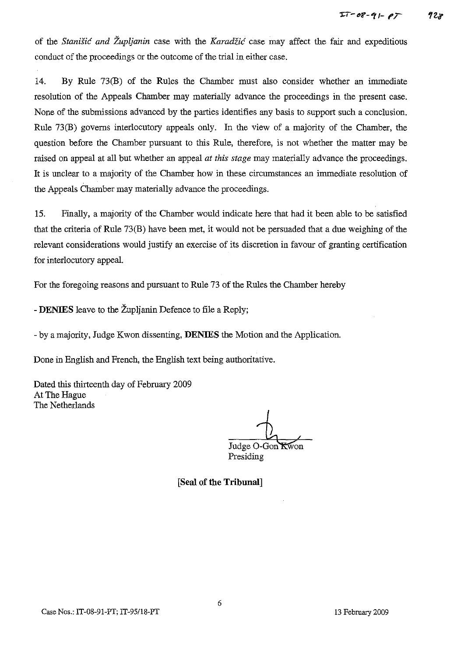of the *Stanisic and Zupljanin* case with the *Karadiic* case may affect the fair and expeditious conduct of the proceedings or the outcome of the trial in either case.

14. By Rule 73(B) of the Rules the Chamber must also consider whether an immediate resolution of the Appeals Chamber may materially advance the proceedings in the present case. None of the submissions advanced by the parties identifies any basis to support such a conclusion. Rule 73(B) governs interlocutory appeals only. In the view of a majority of the Chamber, the question before the Chamber pursuant to this Rule, therefore, is not whether the matter may be raised on appeal at all but whether an appeal *at this stage* may materially advance the proceedings. **It** is unclear to a majority of the Chamber how in these circumstances an immediate resolution of the Appeals Chamber may materially advance the proceedings.

15. Finally, a majority of the Chamber would indicate here that had it been able to be satisfied that the criteria of Rule 73(B) have been met, it would not be persuaded that a due weighing of the relevant considerations would justify an exercise of its discretion in favour of granting certification for interlocutory appeal.

For the foregoing reasons and pursuant to Rule 73 of the Rules the Chamber hereby

- **DENIES** leave to the Zupljanin Defence to file a Reply;

- by a majority, Judge Kwon dissenting, **DENIES** the Motion and the Application.

Done in English and French, the English text being authoritative.

Dated this thirteenth day of February 2009 At The Hague The Netherlands

Judge O-Gon Kwon

Presiding

**[Seal of the Tribunal]**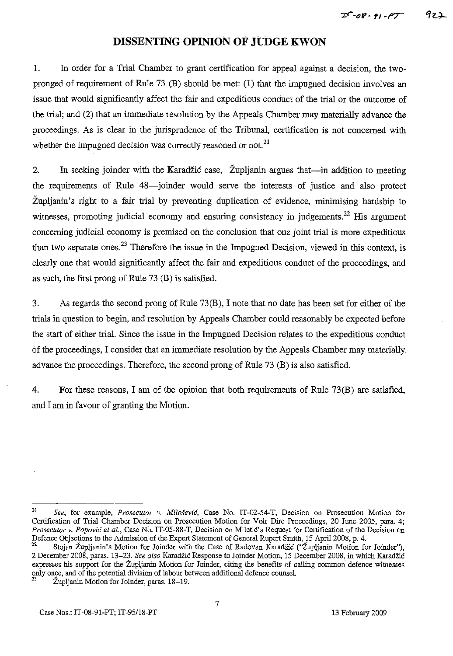# **DISSENTING OPINION OF JtJDGE KWON**

1. In order for a Trial Chamber to grant certification for appeal against a decision, the twopronged of requirement of Rule 73 (B) should be met: (1) that the impugned decision involves an issue that would significantly affect the fair and expeditious conduct of the trial or the outcome of the trial; and (2) that an immediate resolution by the Appeals Chamber may materially advance the proceedings. As is clear in the jurisprudence of the Tribunal, certification is not concerned with whether the impugned decision was correctly reasoned or not.<sup>21</sup>

2. In seeking joinder with the Karadžić case, Župljanin argues that—in addition to meeting the requirements of Rule 48-joinder would serve the interests of justice and also protect Zupljanin's right to a fair trial by preventing duplication of evidence, minimising hardship to witnesses, promoting judicial economy and ensuring consistency in judgements.<sup>22</sup> His argument concerning judicial economy is premised on the conclusion that one joint trial is more expeditious than two separate ones.<sup>23</sup> Therefore the issue in the Impugned Decision, viewed in this context, is clearly one that would significantly affect the fair and expeditious conduct of the proceedings, and as such, the first prong of Rule 73 (B) is satisfied.

3. As regards the second prong of Rule 73(B), I note that no date has been set for either of the trials in question to begin, and resolution by Appeals Chamber could reasonably be expected before the start of either trial. Since the issue in the Impugned Decision relates to the expeditious conduct of the proceedings, I consider that an immediate resolution by the Appeals Chamber may materially advance the proceedings. Therefore, the second prong of Rule 73 (B) is also satisfied.

4. For these reasons, I am of the opinion that both requirements of Rule 73(B) are satisfied, and I am in favour of granting the Motion.

<sup>21</sup> *See,* for example, *Prosecutor* v. *Milosevic,* Case No. IT-02-54-T, Decision on Prosecution Motion for Certification of Trial Chamber Decision on Prosecution Motion for Voir Dire Proceedings, 20 June 2005, para. 4; *Prosecutor v. Popović et al.*, Case No. IT-05-88-T, Decision on Miletić's Request for Certification of the Decision on Defence Objections to the Admission of the Expert Statement of General Rupert Smith, 15 April 2008, p. 4.

 $^{22}$  Stojan Zupljanin's Motion for Joinder with the Case of Radovan Karadžić ("Zupljanin Motion for Joinder"), 2 December 2008, paras. 13-23. *See also* Karadzic Response to Joinder Motion, 15 December 2008, in which Karadzic expresses his support for the Zupljanin Motion for Joinder, citing the benefits of calling common defence witnesses only once, and of the potential division of labour between additional defence counsel.

Župljanin Motion for Joinder, paras. 18-19.